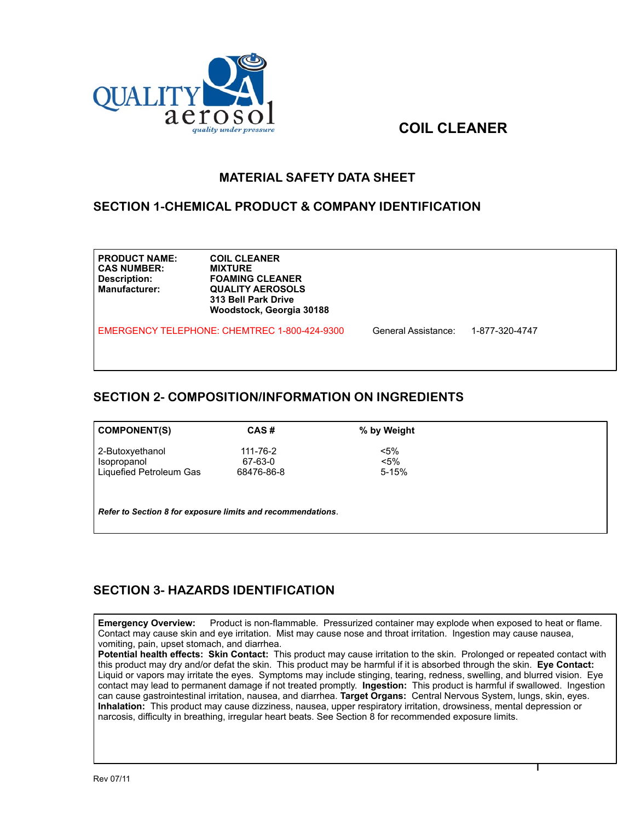

# **COIL CLEANER**

#### **MATERIAL SAFETY DATA SHEET**

#### **SECTION 1-CHEMICAL PRODUCT & COMPANY IDENTIFICATION**

| <b>PRODUCT NAME:</b><br><b>CAS NUMBER:</b><br>Description:<br><b>Manufacturer:</b> | <b>COIL CLEANER</b><br><b>MIXTURE</b><br><b>FOAMING CLEANER</b><br><b>QUALITY AEROSOLS</b><br>313 Bell Park Drive<br>Woodstock, Georgia 30188 |                     |                |  |
|------------------------------------------------------------------------------------|-----------------------------------------------------------------------------------------------------------------------------------------------|---------------------|----------------|--|
| EMERGENCY TELEPHONE: CHEMTREC 1-800-424-9300                                       |                                                                                                                                               | General Assistance: | 1-877-320-4747 |  |

# **SECTION 2- COMPOSITION/INFORMATION ON INGREDIENTS**

| COMPONENT(S)            | CAS#       | % by Weight |
|-------------------------|------------|-------------|
| 2-Butoxyethanol         | 111-76-2   | $< 5\%$     |
| Isopropanol             | 67-63-0    | $< 5\%$     |
| Liquefied Petroleum Gas | 68476-86-8 | $5 - 15%$   |

*Refer to Section 8 for exposure limits and recommendations*.

# **SECTION 3- HAZARDS IDENTIFICATION**

**Emergency Overview:** Product is non-flammable. Pressurized container may explode when exposed to heat or flame. Contact may cause skin and eye irritation. Mist may cause nose and throat irritation. Ingestion may cause nausea, vomiting, pain, upset stomach, and diarrhea.

**Potential health effects: Skin Contact:** This product may cause irritation to the skin. Prolonged or repeated contact with this product may dry and/or defat the skin. This product may be harmful if it is absorbed through the skin. **Eye Contact:**  Liquid or vapors may irritate the eyes. Symptoms may include stinging, tearing, redness, swelling, and blurred vision. Eye contact may lead to permanent damage if not treated promptly. **Ingestion:** This product is harmful if swallowed. Ingestion can cause gastrointestinal irritation, nausea, and diarrhea. **Target Organs:** Central Nervous System, lungs, skin, eyes. **Inhalation:** This product may cause dizziness, nausea, upper respiratory irritation, drowsiness, mental depression or narcosis, difficulty in breathing, irregular heart beats. See Section 8 for recommended exposure limits.

1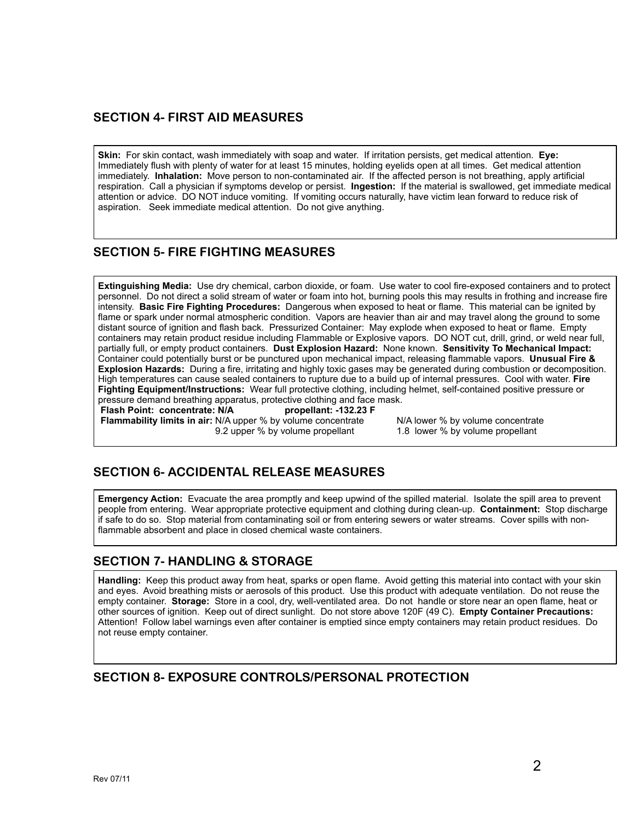#### **SECTION 4- FIRST AID MEASURES**

**Skin:** For skin contact, wash immediately with soap and water. If irritation persists, get medical attention. **Eye:** Immediately flush with plenty of water for at least 15 minutes, holding eyelids open at all times. Get medical attention immediately. **Inhalation:** Move person to non-contaminated air. If the affected person is not breathing, apply artificial respiration. Call a physician if symptoms develop or persist. **Ingestion:** If the material is swallowed, get immediate medical attention or advice. DO NOT induce vomiting. If vomiting occurs naturally, have victim lean forward to reduce risk of aspiration. Seek immediate medical attention. Do not give anything.

# **SECTION 5- FIRE FIGHTING MEASURES**

**Extinguishing Media:** Use dry chemical, carbon dioxide, or foam. Use water to cool fire-exposed containers and to protect personnel. Do not direct a solid stream of water or foam into hot, burning pools this may results in frothing and increase fire intensity. **Basic Fire Fighting Procedures:** Dangerous when exposed to heat or flame. This material can be ignited by flame or spark under normal atmospheric condition. Vapors are heavier than air and may travel along the ground to some distant source of ignition and flash back. Pressurized Container: May explode when exposed to heat or flame. Empty containers may retain product residue including Flammable or Explosive vapors. DO NOT cut, drill, grind, or weld near full, partially full, or empty product containers. **Dust Explosion Hazard:** None known. **Sensitivity To Mechanical Impact:**  Container could potentially burst or be punctured upon mechanical impact, releasing flammable vapors. **Unusual Fire & Explosion Hazards:** During a fire, irritating and highly toxic gases may be generated during combustion or decomposition. High temperatures can cause sealed containers to rupture due to a build up of internal pressures. Cool with water. **Fire Fighting Equipment/Instructions:** Wear full protective clothing, including helmet, self-contained positive pressure or pressure demand breathing apparatus, protective clothing and face mask.<br>Flash Point: concentrate: N/A propellant: -132.23 F

**Flash Point: concentrate: N/A Flammability limits in air:** N/A upper % by volume concentrate N/A lower % by volume concentrate 9.2 upper % by volume propellant 1.8 lower % by volume propellant

# **SECTION 6- ACCIDENTAL RELEASE MEASURES**

**Emergency Action:** Evacuate the area promptly and keep upwind of the spilled material. Isolate the spill area to prevent people from entering. Wear appropriate protective equipment and clothing during clean-up. **Containment:** Stop discharge if safe to do so. Stop material from contaminating soil or from entering sewers or water streams. Cover spills with nonflammable absorbent and place in closed chemical waste containers.

# **SECTION 7- HANDLING & STORAGE**

**Handling:** Keep this product away from heat, sparks or open flame. Avoid getting this material into contact with your skin and eyes. Avoid breathing mists or aerosols of this product. Use this product with adequate ventilation. Do not reuse the empty container. **Storage:** Store in a cool, dry, well-ventilated area. Do not handle or store near an open flame, heat or other sources of ignition. Keep out of direct sunlight. Do not store above 120F (49 C). **Empty Container Precautions:**  Attention! Follow label warnings even after container is emptied since empty containers may retain product residues. Do not reuse empty container.

#### **SECTION 8- EXPOSURE CONTROLS/PERSONAL PROTECTION**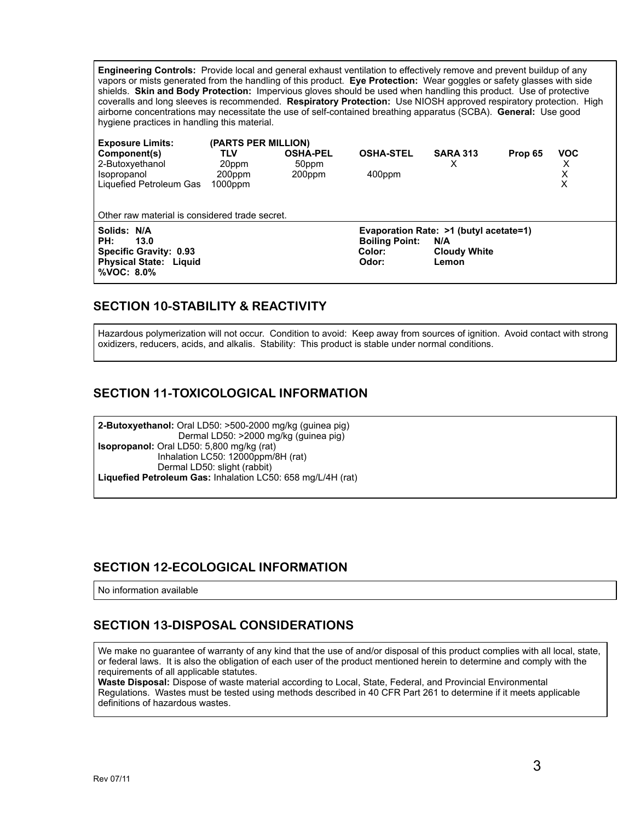**Engineering Controls:** Provide local and general exhaust ventilation to effectively remove and prevent buildup of any vapors or mists generated from the handling of this product. **Eye Protection:** Wear goggles or safety glasses with side shields. **Skin and Body Protection:** Impervious gloves should be used when handling this product. Use of protective coveralls and long sleeves is recommended. **Respiratory Protection:** Use NIOSH approved respiratory protection. High airborne concentrations may necessitate the use of self-contained breathing apparatus (SCBA). **General:** Use good hygiene practices in handling this material.

| <b>Exposure Limits:</b><br>Component(s)<br>2-Butoxyethanol<br>Isopropanol<br>Liquefied Petroleum Gas          | (PARTS PER MILLION)<br>TLV<br>20ppm<br>200ppm<br>$1000$ ppm | <b>OSHA-PEL</b><br>50ppm<br>200ppm | <b>OSHA-STEL</b><br>400ppm                                                         | <b>SARA 313</b><br>х                | Prop 65 | <b>VOC</b><br>X<br>X<br>X |  |  |  |
|---------------------------------------------------------------------------------------------------------------|-------------------------------------------------------------|------------------------------------|------------------------------------------------------------------------------------|-------------------------------------|---------|---------------------------|--|--|--|
| Other raw material is considered trade secret.                                                                |                                                             |                                    |                                                                                    |                                     |         |                           |  |  |  |
| Solids: N/A<br>PH:<br>13.0<br><b>Specific Gravity: 0.93</b><br><b>Physical State: Liquid</b><br>$%VOC: 8.0\%$ |                                                             |                                    | Evaporation Rate: >1 (butyl acetate=1)<br><b>Boiling Point:</b><br>Color:<br>Odor: | N/A<br><b>Cloudy White</b><br>Lemon |         |                           |  |  |  |

# **SECTION 10-STABILITY & REACTIVITY**

Hazardous polymerization will not occur. Condition to avoid: Keep away from sources of ignition. Avoid contact with strong oxidizers, reducers, acids, and alkalis. Stability: This product is stable under normal conditions.

#### **SECTION 11-TOXICOLOGICAL INFORMATION**

**2-Butoxyethanol:** Oral LD50: >500-2000 mg/kg (guinea pig) Dermal LD50: >2000 mg/kg (guinea pig) **Isopropanol:** Oral LD50: 5,800 mg/kg (rat) Inhalation LC50: 12000ppm/8H (rat) Dermal LD50: slight (rabbit) **Liquefied Petroleum Gas:** Inhalation LC50: 658 mg/L/4H (rat)

#### **SECTION 12-ECOLOGICAL INFORMATION**

No information available

# **SECTION 13-DISPOSAL CONSIDERATIONS**

We make no guarantee of warranty of any kind that the use of and/or disposal of this product complies with all local, state, or federal laws. It is also the obligation of each user of the product mentioned herein to determine and comply with the requirements of all applicable statutes.

**Waste Disposal:** Dispose of waste material according to Local, State, Federal, and Provincial Environmental Regulations. Wastes must be tested using methods described in 40 CFR Part 261 to determine if it meets applicable definitions of hazardous wastes.